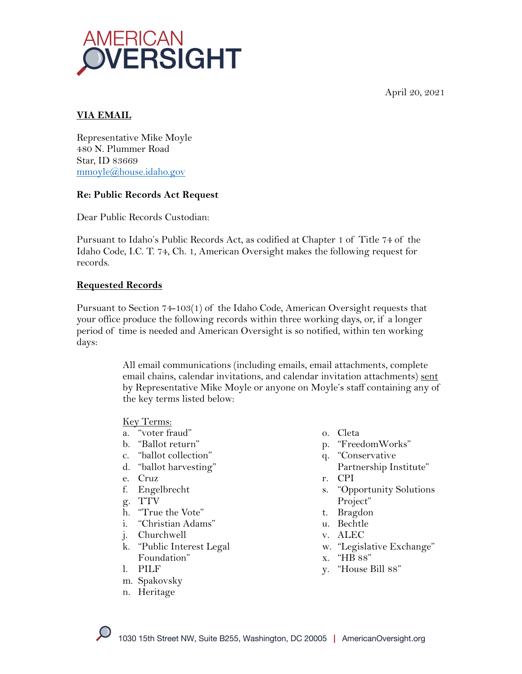April 20, 2021



## **VIA EMAIL**

Representative Mike Moyle 480 N. Plummer Road Star, ID 83669 mmoyle@house.idaho.gov

### **Re: Public Records Act Request**

Dear Public Records Custodian:

Pursuant to Idaho's Public Records Act, as codified at Chapter 1 of Title 74 of the Idaho Code, I.C. T. 74, Ch. 1, American Oversight makes the following request for records.

## **Requested Records**

Pursuant to Section 74-103(1) of the Idaho Code, American Oversight requests that your office produce the following records within three working days, or, if a longer period of time is needed and American Oversight is so notified, within ten working days:

> All email communications (including emails, email attachments, complete email chains, calendar invitations, and calendar invitation attachments) sent by Representative Mike Moyle or anyone on Moyle's staff containing any of the key terms listed below:

#### Key Terms:

- a. "voter fraud"
- b. "Ballot return"
- c. "ballot collection"
- d. "ballot harvesting"
- e. Cruz
- f. Engelbrecht
- g. TTV
- h. "True the Vote"
- i. "Christian Adams"
- j. Churchwell
- k. "Public Interest Legal Foundation"
- l. PILF
- m. Spakovsky
- n. Heritage
- o. Cleta
- p. "FreedomWorks"
- q. "Conservative
	- Partnership Institute"
- r. CPI
- s. "Opportunity Solutions Project"
- t. Bragdon
- u. Bechtle
- v. ALEC
- w. "Legislative Exchange"
- x. "HB 88"
- y. "House Bill 88"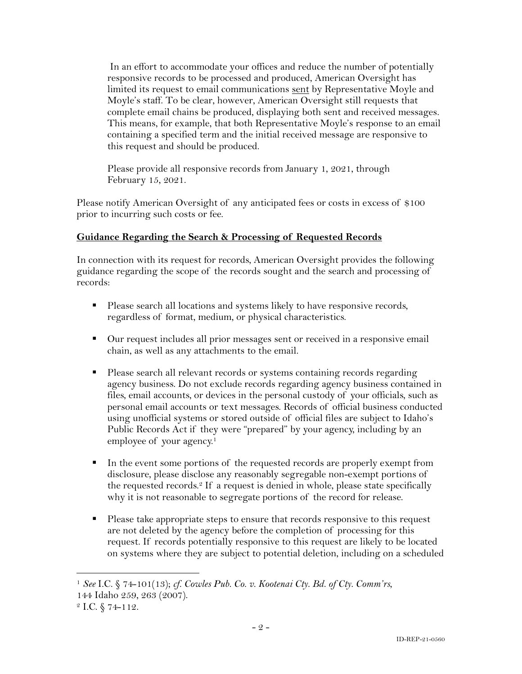In an effort to accommodate your offices and reduce the number of potentially responsive records to be processed and produced, American Oversight has limited its request to email communications sent by Representative Moyle and Moyle's staff. To be clear, however, American Oversight still requests that complete email chains be produced, displaying both sent and received messages. This means, for example, that both Representative Moyle's response to an email containing a specified term and the initial received message are responsive to this request and should be produced.

Please provide all responsive records from January 1, 2021, through February 15, 2021.

Please notify American Oversight of any anticipated fees or costs in excess of \$100 prior to incurring such costs or fee.

## **Guidance Regarding the Search & Processing of Requested Records**

In connection with its request for records, American Oversight provides the following guidance regarding the scope of the records sought and the search and processing of records:

- Please search all locations and systems likely to have responsive records, regardless of format, medium, or physical characteristics.
- Our request includes all prior messages sent or received in a responsive email chain, as well as any attachments to the email.
- Please search all relevant records or systems containing records regarding agency business. Do not exclude records regarding agency business contained in files, email accounts, or devices in the personal custody of your officials, such as personal email accounts or text messages. Records of official business conducted using unofficial systems or stored outside of official files are subject to Idaho's Public Records Act if they were "prepared" by your agency, including by an employee of your agency. 1
- In the event some portions of the requested records are properly exempt from disclosure, please disclose any reasonably segregable non-exempt portions of the requested records.<sup>2</sup> If a request is denied in whole, please state specifically why it is not reasonable to segregate portions of the record for release.
- Please take appropriate steps to ensure that records responsive to this request are not deleted by the agency before the completion of processing for this request. If records potentially responsive to this request are likely to be located on systems where they are subject to potential deletion, including on a scheduled

<sup>1</sup> *See* I.C. § 74-101(13); *cf. Cowles Pub. Co. v. Kootenai Cty. Bd. of Cty. Comm'rs*, 144 Idaho 259, 263 (2007).

 $2$  I.C.  $\S$  74-112.